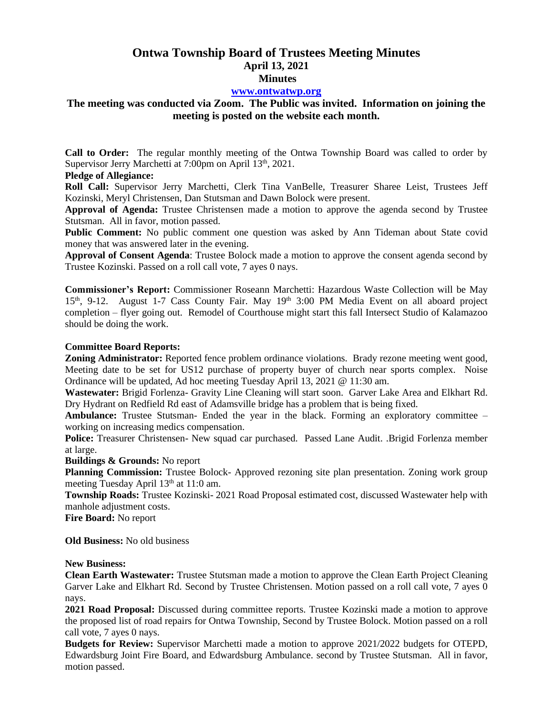# **Ontwa Township Board of Trustees Meeting Minutes April 13, 2021 Minutes**

## **[www.ontwatwp.org](http://www.ontwatwp.org/)**

# **The meeting was conducted via Zoom. The Public was invited. Information on joining the meeting is posted on the website each month.**

**Call to Order:** The regular monthly meeting of the Ontwa Township Board was called to order by Supervisor Jerry Marchetti at 7:00pm on April 13<sup>th</sup>, 2021.

## **Pledge of Allegiance:**

**Roll Call:** Supervisor Jerry Marchetti, Clerk Tina VanBelle, Treasurer Sharee Leist, Trustees Jeff Kozinski, Meryl Christensen, Dan Stutsman and Dawn Bolock were present.

**Approval of Agenda:** Trustee Christensen made a motion to approve the agenda second by Trustee Stutsman. All in favor, motion passed.

Public Comment: No public comment one question was asked by Ann Tideman about State covid money that was answered later in the evening.

**Approval of Consent Agenda**: Trustee Bolock made a motion to approve the consent agenda second by Trustee Kozinski. Passed on a roll call vote, 7 ayes 0 nays.

**Commissioner's Report:** Commissioner Roseann Marchetti: Hazardous Waste Collection will be May  $15<sup>th</sup>$ , 9-12. August 1-7 Cass County Fair. May  $19<sup>th</sup>$  3:00 PM Media Event on all aboard project completion – flyer going out. Remodel of Courthouse might start this fall Intersect Studio of Kalamazoo should be doing the work.

### **Committee Board Reports:**

**Zoning Administrator:** Reported fence problem ordinance violations. Brady rezone meeting went good, Meeting date to be set for US12 purchase of property buyer of church near sports complex. Noise Ordinance will be updated, Ad hoc meeting Tuesday April 13, 2021 @ 11:30 am.

**Wastewater:** Brigid Forlenza- Gravity Line Cleaning will start soon. Garver Lake Area and Elkhart Rd. Dry Hydrant on Redfield Rd east of Adamsville bridge has a problem that is being fixed.

**Ambulance:** Trustee Stutsman- Ended the year in the black. Forming an exploratory committee – working on increasing medics compensation.

**Police:** Treasurer Christensen- New squad car purchased. Passed Lane Audit. .Brigid Forlenza member at large.

#### **Buildings & Grounds:** No report

**Planning Commission:** Trustee Bolock- Approved rezoning site plan presentation. Zoning work group meeting Tuesday April 13<sup>th</sup> at 11:0 am.

**Township Roads:** Trustee Kozinski- 2021 Road Proposal estimated cost, discussed Wastewater help with manhole adjustment costs.

**Fire Board:** No report

**Old Business:** No old business

#### **New Business:**

**Clean Earth Wastewater:** Trustee Stutsman made a motion to approve the Clean Earth Project Cleaning Garver Lake and Elkhart Rd. Second by Trustee Christensen. Motion passed on a roll call vote, 7 ayes 0 nays.

**2021 Road Proposal:** Discussed during committee reports. Trustee Kozinski made a motion to approve the proposed list of road repairs for Ontwa Township, Second by Trustee Bolock. Motion passed on a roll call vote, 7 ayes 0 nays.

**Budgets for Review:** Supervisor Marchetti made a motion to approve 2021/2022 budgets for OTEPD, Edwardsburg Joint Fire Board, and Edwardsburg Ambulance. second by Trustee Stutsman. All in favor, motion passed.